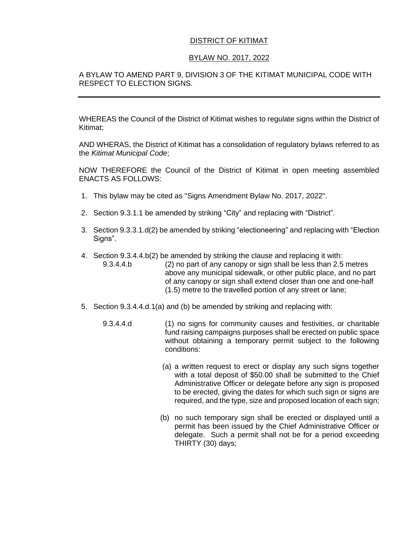# DISTRICT OF KITIMAT

## BYLAW NO. 2017, 2022

## A BYLAW TO AMEND PART 9, DIVISION 3 OF THE KITIMAT MUNICIPAL CODE WITH RESPECT TO ELECTION SIGNS.

WHEREAS the Council of the District of Kitimat wishes to regulate signs within the District of Kitimat;

AND WHERAS, the District of Kitimat has a consolidation of regulatory bylaws referred to as the *Kitimat Municipal Code*;

NOW THEREFORE the Council of the District of Kitimat in open meeting assembled ENACTS AS FOLLOWS:

- 1. This bylaw may be cited as "Signs Amendment Bylaw No. 2017, 2022".
- 2. Section 9.3.1.1 be amended by striking "City" and replacing with "District".
- 3. Section 9.3.3.1.d(2) be amended by striking "electioneering" and replacing with "Election Signs".
- 4. Section 9.3.4.4.b(2) be amended by striking the clause and replacing it with: 9.3.4.4.b (2) no part of any canopy or sign shall be less than 2.5 metres above any municipal sidewalk, or other public place, and no part of any canopy or sign shall extend closer than one and one-half (1.5) metre to the travelled portion of any street or lane;
- 5. Section 9.3.4.4.d.1(a) and (b) be amended by striking and replacing with:
	- 9.3.4.4.d (1) no signs for community causes and festivities, or charitable fund raising campaigns purposes shall be erected on public space without obtaining a temporary permit subject to the following conditions:
		- (a) a written request to erect or display any such signs together with a total deposit of \$50.00 shall be submitted to the Chief Administrative Officer or delegate before any sign is proposed to be erected, giving the dates for which such sign or signs are required, and the type, size and proposed location of each sign;
		- (b) no such temporary sign shall be erected or displayed until a permit has been issued by the Chief Administrative Officer or delegate. Such a permit shall not be for a period exceeding THIRTY (30) days;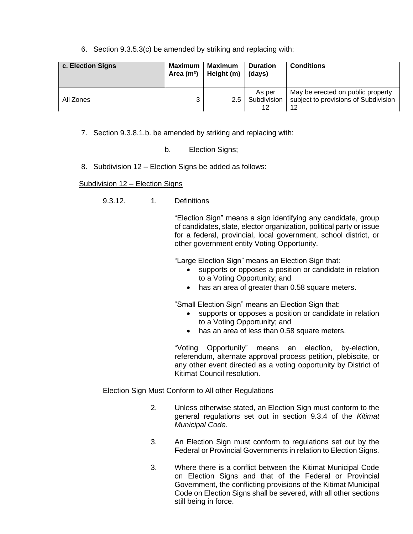6. Section 9.3.5.3(c) be amended by striking and replacing with:

| c. Election Signs | Maximum<br>Area $(m2)$ | Maximum<br>Height (m) | <b>Duration</b><br>(days)   | <b>Conditions</b>                                                               |
|-------------------|------------------------|-----------------------|-----------------------------|---------------------------------------------------------------------------------|
| All Zones         | 3                      | 2.5 <sub>1</sub>      | As per<br>Subdivision<br>12 | May be erected on public property<br>subject to provisions of Subdivision<br>12 |

- 7. Section 9.3.8.1.b. be amended by striking and replacing with:
	- b. Election Signs;
- 8. Subdivision 12 Election Signs be added as follows:

#### Subdivision 12 – Election Signs

9.3.12. 1. Definitions

"Election Sign" means a sign identifying any candidate, group of candidates, slate, elector organization, political party or issue for a federal, provincial, local government, school district, or other government entity Voting Opportunity.

"Large Election Sign" means an Election Sign that:

- supports or opposes a position or candidate in relation to a Voting Opportunity; and
- has an area of greater than 0.58 square meters.

"Small Election Sign" means an Election Sign that:

- supports or opposes a position or candidate in relation to a Voting Opportunity; and
- has an area of less than 0.58 square meters.

"Voting Opportunity" means an election, by-election, referendum, alternate approval process petition, plebiscite, or any other event directed as a voting opportunity by District of Kitimat Council resolution.

Election Sign Must Conform to All other Regulations

- 2. Unless otherwise stated, an Election Sign must conform to the general regulations set out in section 9.3.4 of the *Kitimat Municipal Code*.
- 3. An Election Sign must conform to regulations set out by the Federal or Provincial Governments in relation to Election Signs.
- 3. Where there is a conflict between the Kitimat Municipal Code on Election Signs and that of the Federal or Provincial Government, the conflicting provisions of the Kitimat Municipal Code on Election Signs shall be severed, with all other sections still being in force.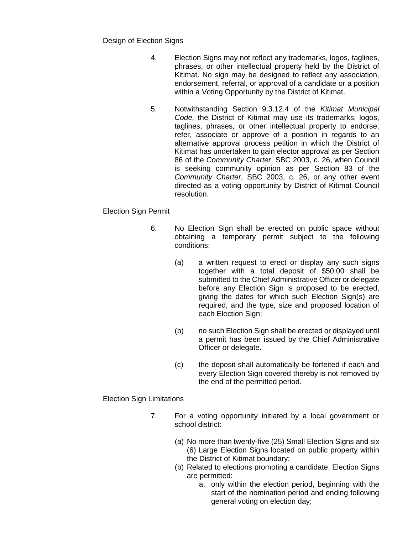Design of Election Signs

- 4. Election Signs may not reflect any trademarks, logos, taglines, phrases, or other intellectual property held by the District of Kitimat. No sign may be designed to reflect any association, endorsement, referral, or approval of a candidate or a position within a Voting Opportunity by the District of Kitimat.
- 5. Notwithstanding Section 9.3.12.4 of the *Kitimat Municipal Code,* the District of Kitimat may use its trademarks, logos, taglines, phrases, or other intellectual property to endorse, refer, associate or approve of a position in regards to an alternative approval process petition in which the District of Kitimat has undertaken to gain elector approval as per Section 86 of the *Community Charter*, SBC 2003, c. 26, when Council is seeking community opinion as per Section 83 of the *Community Charter*, SBC 2003, c. 26, or any other event directed as a voting opportunity by District of Kitimat Council resolution.

## Election Sign Permit

- 6. No Election Sign shall be erected on public space without obtaining a temporary permit subject to the following conditions:
	- (a) a written request to erect or display any such signs together with a total deposit of \$50.00 shall be submitted to the Chief Administrative Officer or delegate before any Election Sign is proposed to be erected, giving the dates for which such Election Sign(s) are required, and the type, size and proposed location of each Election Sign;
	- (b) no such Election Sign shall be erected or displayed until a permit has been issued by the Chief Administrative Officer or delegate.
	- (c) the deposit shall automatically be forfeited if each and every Election Sign covered thereby is not removed by the end of the permitted period.

Election Sign Limitations

- 7. For a voting opportunity initiated by a local government or school district:
	- (a) No more than twenty-five (25) Small Election Signs and six (6) Large Election Signs located on public property within the District of Kitimat boundary;
	- (b) Related to elections promoting a candidate, Election Signs are permitted:
		- a. only within the election period, beginning with the start of the nomination period and ending following general voting on election day;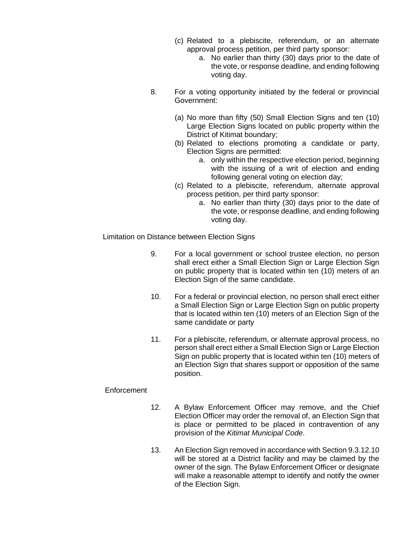- (c) Related to a plebiscite, referendum, or an alternate approval process petition, per third party sponsor:
	- a. No earlier than thirty (30) days prior to the date of the vote, or response deadline, and ending following voting day.
- 8. For a voting opportunity initiated by the federal or provincial Government:
	- (a) No more than fifty (50) Small Election Signs and ten (10) Large Election Signs located on public property within the District of Kitimat boundary;
	- (b) Related to elections promoting a candidate or party, Election Signs are permitted:
		- a. only within the respective election period, beginning with the issuing of a writ of election and ending following general voting on election day;
	- (c) Related to a plebiscite, referendum, alternate approval process petition, per third party sponsor:
		- a. No earlier than thirty (30) days prior to the date of the vote, or response deadline, and ending following voting day.

Limitation on Distance between Election Signs

- 9. For a local government or school trustee election, no person shall erect either a Small Election Sign or Large Election Sign on public property that is located within ten (10) meters of an Election Sign of the same candidate.
- 10. For a federal or provincial election, no person shall erect either a Small Election Sign or Large Election Sign on public property that is located within ten (10) meters of an Election Sign of the same candidate or party
- 11. For a plebiscite, referendum, or alternate approval process, no person shall erect either a Small Election Sign or Large Election Sign on public property that is located within ten (10) meters of an Election Sign that shares support or opposition of the same position.

## **Enforcement**

- 12. A Bylaw Enforcement Officer may remove, and the Chief Election Officer may order the removal of, an Election Sign that is place or permitted to be placed in contravention of any provision of the *Kitimat Municipal Code*.
- 13. An Election Sign removed in accordance with Section 9.3.12.10 will be stored at a District facility and may be claimed by the owner of the sign. The Bylaw Enforcement Officer or designate will make a reasonable attempt to identify and notify the owner of the Election Sign.